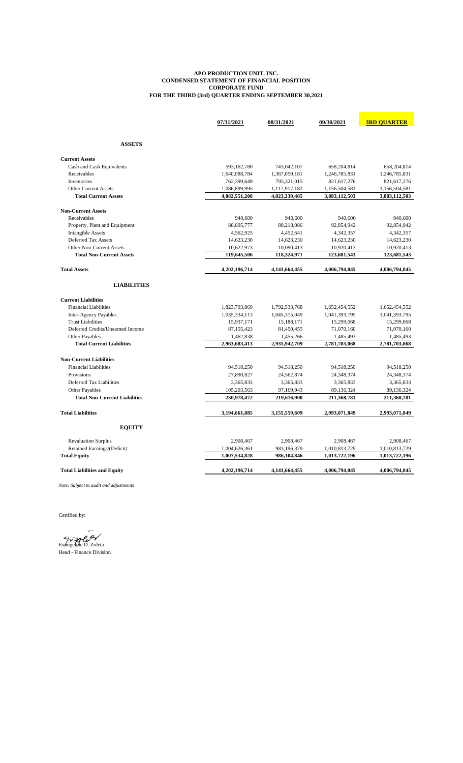#### **APO PRODUCTION UNIT, INC. CONDENSED STATEMENT OF FINANCIAL POSITION CORPORATE FUND FOR THE THIRD (3rd) QUARTER ENDING SEPTEMBER 30,2021**

|                                                        | 07/31/2021                | 08/31/2021                | 09/30/2021                | <b>3RD QUARTER</b>        |
|--------------------------------------------------------|---------------------------|---------------------------|---------------------------|---------------------------|
| <b>ASSETS</b>                                          |                           |                           |                           |                           |
| <b>Current Assets</b>                                  |                           |                           |                           |                           |
| Cash and Cash Equivalents                              | 593,162,780               | 743,042,107               | 658,204,814               | 658,204,814               |
| Receivables                                            | 1,640,088,784             | 1,367,059,181             | 1,246,785,831             | 1,246,785,831             |
| Inventories                                            | 762,399,649               | 795,321,015               | 821,617,276               | 821,617,276               |
| <b>Other Current Assets</b>                            | 1,086,899,995             | 1,117,917,182             | 1,156,504,581             | 1,156,504,581             |
| <b>Total Current Assets</b>                            | 4,082,551,208             | 4,023,339,485             | 3,883,112,503             | 3,883,112,503             |
| <b>Non-Current Assets</b>                              |                           |                           |                           |                           |
| Receivables                                            | 940,600                   | 940,600                   | 940,600                   | 940,600                   |
| Property, Plant and Equipment                          | 88, 895, 777              | 88,218,086                | 92,854,942                | 92,854,942                |
|                                                        | 4,562,925                 |                           | 4,342,357                 | 4,342,357                 |
| <b>Intangible Assets</b><br><b>Deferred Tax Assets</b> | 14,623,230                | 4,452,641<br>14,623,230   | 14,623,230                | 14,623,230                |
| <b>Other Non-Current Assets</b>                        |                           |                           |                           |                           |
| <b>Total Non-Current Assets</b>                        | 10,622,973<br>119,645,506 | 10,090,413<br>118,324,971 | 10,920,413<br>123,681,543 | 10,920,413<br>123,681,543 |
|                                                        |                           |                           |                           |                           |
| <b>Total Assets</b>                                    | 4,202,196,714             | 4,141,664,455             | 4,006,794,045             | 4,006,794,045             |
| <b>LIABILITIES</b>                                     |                           |                           |                           |                           |
|                                                        |                           |                           |                           |                           |
| <b>Current Liabilities</b>                             |                           |                           |                           |                           |
| <b>Financial Liabilities</b>                           | 1,823,793,869             | 1,792,533,768             | 1,652,454,552             | 1,652,454,552             |
| <b>Inter-Agency Payables</b>                           | 1,035,334,113             | 1,045,315,049             | 1,041,393,795             | 1,041,393,795             |
| <b>Trust Liabilities</b>                               | 15,937,171                | 15,188,171                | 15,299,068                | 15,299,068                |
| Deferred Credits/Unearned Income                       | 87,155,423                | 81,450,455                | 71,070,160                | 71,070,160                |
| Other Payables                                         | 1,462,838                 | 1,455,266                 | 1,485,493                 | 1,485,493                 |
| <b>Total Current Liabilities</b>                       | 2,963,683,413             | 2,935,942,709             | 2,781,703,068             | 2,781,703,068             |
| <b>Non-Current Liabilities</b>                         |                           |                           |                           |                           |
| <b>Financial Liabilities</b>                           | 94,518,250                | 94,518,250                | 94,518,250                | 94,518,250                |
| Provisions                                             | 27,890,827                | 24,562,874                | 24,348,374                | 24,348,374                |
| Deferred Tax Liabilities                               | 3,365,833                 | 3,365,833                 | 3,365,833                 | 3,365,833                 |
| <b>Other Payables</b>                                  | 105,203,563               | 97,169,943                | 89,136,324                | 89,136,324                |
| <b>Total Non-Current Liabilities</b>                   | 230,978,472               | 219,616,900               | 211,368,781               | 211,368,781               |
|                                                        |                           |                           |                           |                           |
| <b>Total Liabilities</b>                               | 3,194,661,885             | 3,155,559,609             | 2,993,071,849             | 2,993,071,849             |
| <b>EQUITY</b>                                          |                           |                           |                           |                           |
|                                                        |                           |                           |                           |                           |
| <b>Revaluation Surplus</b>                             | 2,908,467                 | 2,908,467                 | 2,908,467                 | 2,908,467                 |
| Retained Earnings/(Deficit)                            | 1,004,626,361             | 983,196,379               | 1,010,813,729             | 1,010,813,729             |
| <b>Total Equity</b>                                    | 1,007,534,828             | 986,104,846               | 1,013,722,196             | 1,013,722,196             |
| <b>Total Liabilities and Equity</b>                    | 4,202,196,714             | 4,141,664,455             | 4,006,794,045             | 4,006,794,045             |

*Note: Subject to audit and adjustments*

Evangeline D. Zoleta Head - Finance Division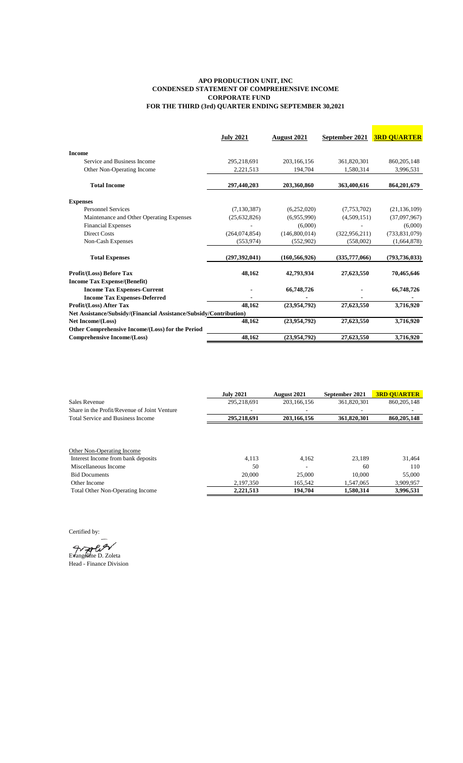# **CORPORATE FUND APO PRODUCTION UNIT, INC CONDENSED STATEMENT OF COMPREHENSIVE INCOME FOR THE THIRD (3rd) QUARTER ENDING SEPTEMBER 30,2021**

|                                                                    | <b>July 2021</b> | <b>August 2021</b> | September 2021  | <b>3RD OUARTER</b> |
|--------------------------------------------------------------------|------------------|--------------------|-----------------|--------------------|
| <b>Income</b>                                                      |                  |                    |                 |                    |
| Service and Business Income                                        | 295,218,691      | 203,166,156        | 361,820,301     | 860, 205, 148      |
| Other Non-Operating Income                                         | 2,221,513        | 194,704            | 1,580,314       | 3,996,531          |
| <b>Total Income</b>                                                | 297,440,203      | 203,360,860        | 363,400,616     | 864,201,679        |
| <b>Expenses</b>                                                    |                  |                    |                 |                    |
| <b>Personnel Services</b>                                          | (7, 130, 387)    | (6,252,020)        | (7,753,702)     | (21, 136, 109)     |
| Maintenance and Other Operating Expenses                           | (25, 632, 826)   | (6.955.990)        | (4,509,151)     | (37,097,967)       |
| <b>Financial Expenses</b>                                          |                  | (6,000)            |                 | (6,000)            |
| <b>Direct Costs</b>                                                | (264, 074, 854)  | (146,800,014)      | (322, 956, 211) | (733, 831, 079)    |
| Non-Cash Expenses                                                  | (553, 974)       | (552,902)          | (558,002)       | (1,664,878)        |
| <b>Total Expenses</b>                                              | (297, 392, 041)  | (160, 566, 926)    | (335,777,066)   | (793, 736, 033)    |
| <b>Profit/(Loss) Before Tax</b>                                    | 48,162           | 42,793,934         | 27,623,550      | 70,465,646         |
| <b>Income Tax Expense/(Benefit)</b>                                |                  |                    |                 |                    |
| <b>Income Tax Expenses-Current</b>                                 |                  | 66,748,726         |                 | 66,748,726         |
| <b>Income Tax Expenses-Deferred</b>                                |                  |                    |                 |                    |
| Profit/(Loss) After Tax                                            | 48,162           | (23,954,792)       | 27,623,550      | 3,716,920          |
| Net Assistance/Subsidy/(Financial Assistance/Subsidy/Contribution) |                  |                    |                 |                    |
| Net Income/(Loss)                                                  | 48,162           | (23,954,792)       | 27,623,550      | 3,716,920          |
| Other Comprehensive Income/(Loss) for the Period                   |                  |                    |                 |                    |
| <b>Comprehensive Income/(Loss)</b>                                 | 48,162           | (23,954,792)       | 27,623,550      | 3,716,920          |

|                                              | <b>July 2021</b> | <b>August 2021</b> | September 2021 | <b>3RD OUARTER</b> |
|----------------------------------------------|------------------|--------------------|----------------|--------------------|
| Sales Revenue                                | 295.218.691      | 203,166,156        | 361,820,301    | 860, 205, 148      |
| Share in the Profit/Revenue of Joint Venture |                  |                    |                |                    |
| Total Service and Business Income            | 295.218.691      | 203,166,156        | 361,820,301    | 860, 205, 148      |
| Other Non-Operating Income                   |                  |                    |                |                    |
| Interest Income from bank deposits           | 4.113            | 4,162              | 23.189         | 31.464             |
| Miscellaneous Income                         | 50               | ۰                  | 60             | 110                |
| <b>Bid Documents</b>                         | 20,000           | 25,000             | 10,000         | 55,000             |
| Other Income                                 | 2,197,350        | 165,542            | 1,547,065      | 3,909,957          |
| <b>Total Other Non-Operating Income</b>      | 2,221,513        | 194.704            | 1,580,314      | 3,996,531          |

Evangeline D. Zoleta

Head - Finance Division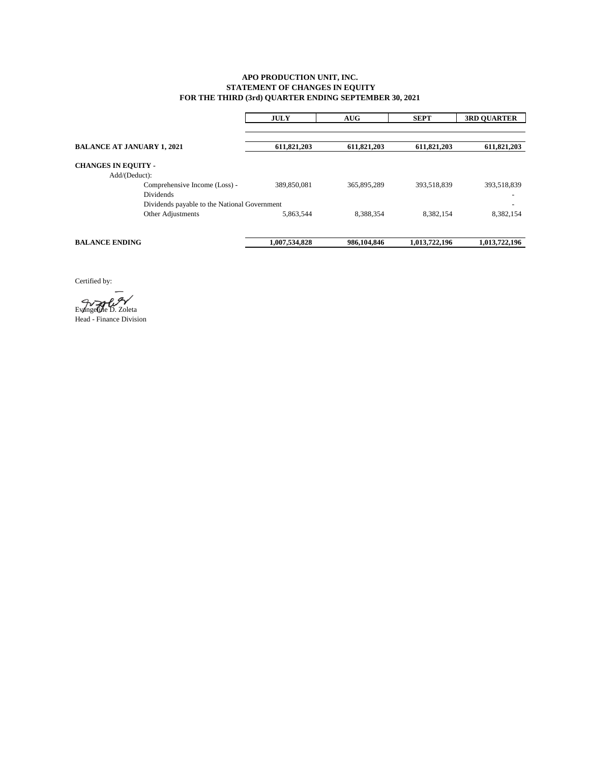### **APO PRODUCTION UNIT, INC. STATEMENT OF CHANGES IN EQUITY FOR THE THIRD (3rd) QUARTER ENDING SEPTEMBER 30, 2021**

|                                              | <b>JULY</b>   | AUG         | <b>SEPT</b>   | <b>3RD OUARTER</b>       |
|----------------------------------------------|---------------|-------------|---------------|--------------------------|
|                                              |               |             |               |                          |
| <b>BALANCE AT JANUARY 1, 2021</b>            | 611,821,203   | 611,821,203 | 611,821,203   | 611,821,203              |
| <b>CHANGES IN EQUITY -</b>                   |               |             |               |                          |
| Add/(Deduct):                                |               |             |               |                          |
| Comprehensive Income (Loss) -                | 389,850,081   | 365,895,289 | 393,518,839   | 393,518,839              |
| <b>Dividends</b>                             |               |             |               |                          |
| Dividends payable to the National Government |               |             |               | $\overline{\phantom{0}}$ |
| Other Adjustments                            | 5,863,544     | 8,388,354   | 8.382.154     | 8,382,154                |
| <b>BALANCE ENDING</b>                        | 1,007,534,828 | 986,104,846 | 1,013,722,196 | 1,013,722,196            |

Evangeline D. Zoleta Head - Finance Division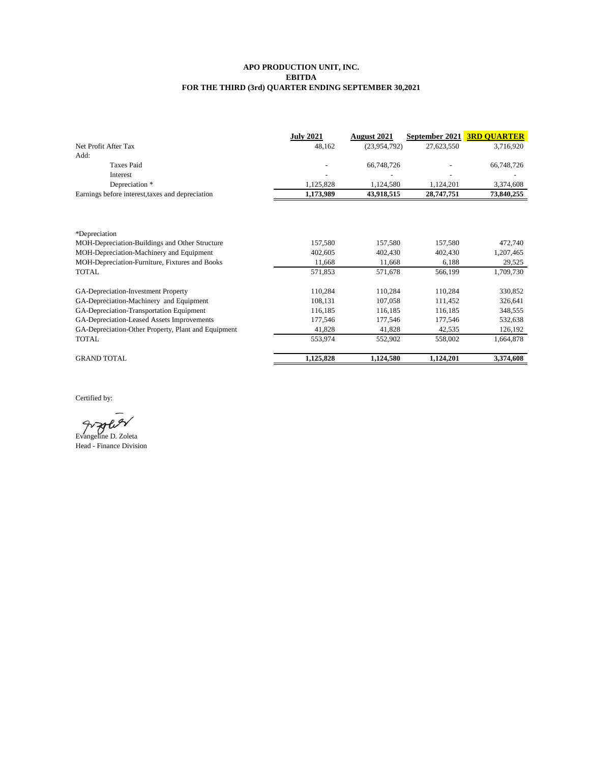### **APO PRODUCTION UNIT, INC. EBITDA FOR THE THIRD (3rd) QUARTER ENDING SEPTEMBER 30,2021**

|                                                     | <b>July 2021</b> | <b>August 2021</b> | September 2021 | <b>3RD OUARTER</b> |
|-----------------------------------------------------|------------------|--------------------|----------------|--------------------|
| Net Profit After Tax                                | 48,162           | (23,954,792)       | 27,623,550     | 3,716,920          |
| Add:                                                |                  |                    |                |                    |
| <b>Taxes Paid</b>                                   |                  | 66,748,726         |                | 66,748,726         |
| Interest                                            |                  |                    |                |                    |
| Depreciation *                                      | 1,125,828        | 1,124,580          | 1,124,201      | 3,374,608          |
| Earnings before interest, taxes and depreciation    | 1,173,989        | 43,918,515         | 28,747,751     | 73,840,255         |
|                                                     |                  |                    |                |                    |
| *Depreciation                                       |                  |                    |                |                    |
| MOH-Depreciation-Buildings and Other Structure      | 157,580          | 157,580            | 157,580        | 472,740            |
| MOH-Depreciation-Machinery and Equipment            | 402,605          | 402,430            | 402,430        | 1,207,465          |
| MOH-Depreciation-Furniture, Fixtures and Books      | 11,668           | 11,668             | 6,188          | 29,525             |
| <b>TOTAL</b>                                        | 571,853          | 571,678            | 566,199        | 1,709,730          |
| GA-Depreciation-Investment Property                 | 110,284          | 110,284            | 110,284        | 330,852            |
| GA-Depreciation-Machinery and Equipment             | 108,131          | 107,058            | 111,452        | 326,641            |
| GA-Depreciation-Transportation Equipment            | 116,185          | 116,185            | 116,185        | 348,555            |
| GA-Depreciation-Leased Assets Improvements          | 177,546          | 177,546            | 177.546        | 532,638            |
| GA-Depreciation-Other Property, Plant and Equipment | 41,828           | 41,828             | 42,535         | 126,192            |
| <b>TOTAL</b>                                        | 553,974          | 552,902            | 558,002        | 1,664,878          |
| <b>GRAND TOTAL</b>                                  | 1,125,828        | 1,124,580          | 1,124,201      | 3,374,608          |

Evangeline D. Zoleta

Head - Finance Division